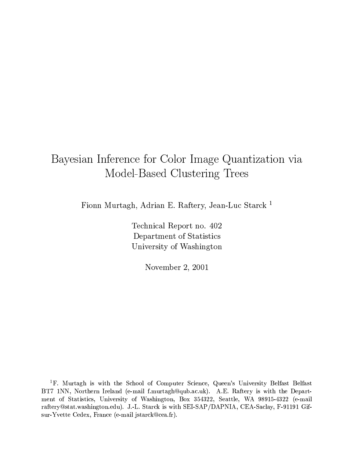# Bayesian Inference for Color Image Quantization via Model-Based Clustering Trees

Fionn Murtagh, Adrian E. Raftery, Jean-Luc Starck<sup>1</sup>

Technical Report no. 402 Department of Statistics University of Washington

November 2, 2001

<sup>1</sup>F. Murtagh is with the School of Computer Science, Queen's University Belfast Belfast BT7 1NN, Northern Ireland (e-mail f.murtagh@qub.ac.uk). A.E. Raftery is with the Department of Statistics, University of Washington, Box 354322, Seattle, WA 98915-4322 (e-mail raftery@stat.washington.edu). J.-L. Starck is with SEI-SAP/DAPNIA, CEA-Saclay, F-91191 Gifsur-Yvette Cedex, France (e-mail jstarck@cea.fr).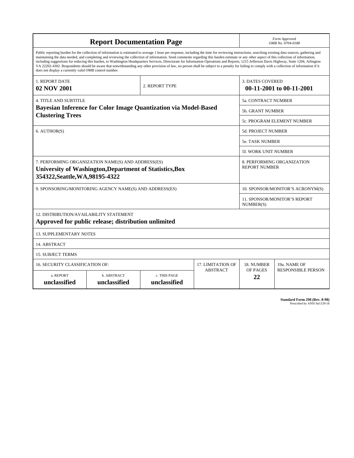| <b>Report Documentation Page</b>                                                                                                                                                                                                                                                                                                                                                                                                                                                                                                                                                                                                                                                                                                                                                                                                                                   |                             |                              |                                   |                                                  | Form Approved<br>OMB No. 0704-0188 |  |
|--------------------------------------------------------------------------------------------------------------------------------------------------------------------------------------------------------------------------------------------------------------------------------------------------------------------------------------------------------------------------------------------------------------------------------------------------------------------------------------------------------------------------------------------------------------------------------------------------------------------------------------------------------------------------------------------------------------------------------------------------------------------------------------------------------------------------------------------------------------------|-----------------------------|------------------------------|-----------------------------------|--------------------------------------------------|------------------------------------|--|
| Public reporting burden for the collection of information is estimated to average 1 hour per response, including the time for reviewing instructions, searching existing data sources, gathering and<br>maintaining the data needed, and completing and reviewing the collection of information. Send comments regarding this burden estimate or any other aspect of this collection of information,<br>including suggestions for reducing this burden, to Washington Headquarters Services, Directorate for Information Operations and Reports, 1215 Jefferson Davis Highway, Suite 1204, Arlington<br>VA 22202-4302. Respondents should be aware that notwithstanding any other provision of law, no person shall be subject to a penalty for failing to comply with a collection of information if it<br>does not display a currently valid OMB control number. |                             |                              |                                   |                                                  |                                    |  |
| 1. REPORT DATE<br>02 NOV 2001                                                                                                                                                                                                                                                                                                                                                                                                                                                                                                                                                                                                                                                                                                                                                                                                                                      |                             | 2. REPORT TYPE               |                                   | <b>3. DATES COVERED</b>                          | 00-11-2001 to 00-11-2001           |  |
| <b>4. TITLE AND SUBTITLE</b>                                                                                                                                                                                                                                                                                                                                                                                                                                                                                                                                                                                                                                                                                                                                                                                                                                       |                             | <b>5a. CONTRACT NUMBER</b>   |                                   |                                                  |                                    |  |
| Bayesian Inference for Color Image Quantization via Model-Based                                                                                                                                                                                                                                                                                                                                                                                                                                                                                                                                                                                                                                                                                                                                                                                                    |                             |                              |                                   |                                                  | <b>5b. GRANT NUMBER</b>            |  |
| <b>Clustering Trees</b>                                                                                                                                                                                                                                                                                                                                                                                                                                                                                                                                                                                                                                                                                                                                                                                                                                            |                             |                              | 5c. PROGRAM ELEMENT NUMBER        |                                                  |                                    |  |
| 6. AUTHOR(S)                                                                                                                                                                                                                                                                                                                                                                                                                                                                                                                                                                                                                                                                                                                                                                                                                                                       |                             |                              | 5d. PROJECT NUMBER                |                                                  |                                    |  |
|                                                                                                                                                                                                                                                                                                                                                                                                                                                                                                                                                                                                                                                                                                                                                                                                                                                                    |                             |                              | <b>5e. TASK NUMBER</b>            |                                                  |                                    |  |
|                                                                                                                                                                                                                                                                                                                                                                                                                                                                                                                                                                                                                                                                                                                                                                                                                                                                    |                             |                              |                                   | <b>5f. WORK UNIT NUMBER</b>                      |                                    |  |
| 7. PERFORMING ORGANIZATION NAME(S) AND ADDRESS(ES)<br>8. PERFORMING ORGANIZATION<br><b>REPORT NUMBER</b><br>University of Washington, Department of Statistics, Box<br>354322, Seattle, WA, 98195-4322                                                                                                                                                                                                                                                                                                                                                                                                                                                                                                                                                                                                                                                             |                             |                              |                                   |                                                  |                                    |  |
| 9. SPONSORING/MONITORING AGENCY NAME(S) AND ADDRESS(ES)<br>10. SPONSOR/MONITOR'S ACRONYM(S)                                                                                                                                                                                                                                                                                                                                                                                                                                                                                                                                                                                                                                                                                                                                                                        |                             |                              |                                   |                                                  |                                    |  |
|                                                                                                                                                                                                                                                                                                                                                                                                                                                                                                                                                                                                                                                                                                                                                                                                                                                                    |                             |                              |                                   | <b>11. SPONSOR/MONITOR'S REPORT</b><br>NUMBER(S) |                                    |  |
| 12. DISTRIBUTION/AVAILABILITY STATEMENT<br>Approved for public release; distribution unlimited                                                                                                                                                                                                                                                                                                                                                                                                                                                                                                                                                                                                                                                                                                                                                                     |                             |                              |                                   |                                                  |                                    |  |
| <b>13. SUPPLEMENTARY NOTES</b>                                                                                                                                                                                                                                                                                                                                                                                                                                                                                                                                                                                                                                                                                                                                                                                                                                     |                             |                              |                                   |                                                  |                                    |  |
| 14. ABSTRACT                                                                                                                                                                                                                                                                                                                                                                                                                                                                                                                                                                                                                                                                                                                                                                                                                                                       |                             |                              |                                   |                                                  |                                    |  |
| <b>15. SUBJECT TERMS</b>                                                                                                                                                                                                                                                                                                                                                                                                                                                                                                                                                                                                                                                                                                                                                                                                                                           |                             |                              |                                   |                                                  |                                    |  |
| 16. SECURITY CLASSIFICATION OF:                                                                                                                                                                                                                                                                                                                                                                                                                                                                                                                                                                                                                                                                                                                                                                                                                                    | 17. LIMITATION OF           | 18. NUMBER                   | 19a. NAME OF                      |                                                  |                                    |  |
| a. REPORT<br>unclassified                                                                                                                                                                                                                                                                                                                                                                                                                                                                                                                                                                                                                                                                                                                                                                                                                                          | b. ABSTRACT<br>unclassified | c. THIS PAGE<br>unclassified | <b>ABSTRACT</b><br>OF PAGES<br>22 |                                                  | <b>RESPONSIBLE PERSON</b>          |  |

**Standard Form 298 (Rev. 8-98)**<br>Prescribed by ANSI Std Z39-18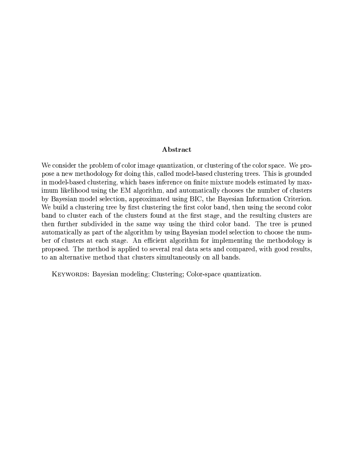## Abstract

We consider the problem of color image quantization, or clustering of the color space. We propose a new methodology for doing this, called model-based clustering trees. This is grounded in model-based clustering, which bases inference on finite mixture models estimated by maximum likelihood using the EM algorithm, and automatically chooses the number of clusters by Bayesian model selection, approximated using BIC, the Bayesian Information Criterion. We build a clustering tree by first clustering the first color band, then using the second color band to cluster each of the clusters found at the first stage, and the resulting clusters are then further subdivided in the same way using the third color band. The tree is pruned automatically as part of the algorithm by using Bayesian model selection to choose the number of clusters at each stage. An efficient algorithm for implementing the methodology is proposed. The method is applied to several real data sets and compared, with good results, to an alternative method that clusters simultaneously on all bands.

KEYWORDS: Bayesian modeling; Clustering; Color-space quantization.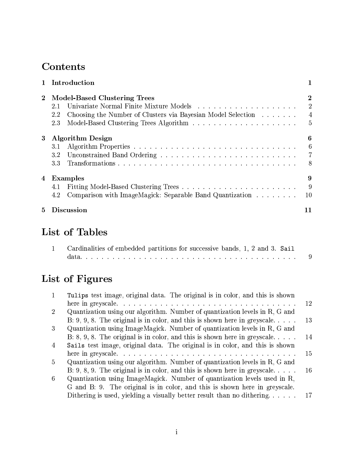# Contents

| 1 Introduction |                                                                     |                |  |
|----------------|---------------------------------------------------------------------|----------------|--|
| $\bf{2}$       | <b>Model-Based Clustering Trees</b>                                 | $\bf{2}$       |  |
|                | 2.1                                                                 | $\overline{2}$ |  |
|                | Choosing the Number of Clusters via Bayesian Model Selection<br>2.2 | $\overline{4}$ |  |
|                | 2.3                                                                 | $\overline{5}$ |  |
| 3              | <b>Algorithm Design</b>                                             | 6              |  |
|                | 3.1                                                                 | 6              |  |
|                | 3.2                                                                 | $\overline{7}$ |  |
|                | 3.3                                                                 | 8              |  |
| 4              | Examples                                                            | 9              |  |
|                | 4.1                                                                 | -9             |  |
|                | Comparison with ImageMagick: Separable Band Quantization<br>4.2     | 10             |  |
| 5.             | <b>Discussion</b>                                                   | 11             |  |

# List of Tables

| Cardinalities of embedded partitions for successive bands, 1, 2 and 3. Sail |     |
|-----------------------------------------------------------------------------|-----|
|                                                                             | - 9 |

# List of Figures

| $\mathbf{1}$   | Tulips test image, original data. The original is in color, and this is shown |    |
|----------------|-------------------------------------------------------------------------------|----|
|                |                                                                               | 12 |
| $\overline{2}$ | Quantization using our algorithm. Number of quantization levels in R, G and   |    |
|                | B: 9, 9, 8. The original is in color, and this is shown here in greyscale     | 13 |
| 3              | Quantization using ImageMagick. Number of quantization levels in R, G and     |    |
|                | B: 8, 9, 8. The original is in color, and this is shown here in greyscale     | 14 |
| $\overline{4}$ | Sails test image, original data. The original is in color, and this is shown  |    |
|                |                                                                               | 15 |
| 5              | Quantization using our algorithm. Number of quantization levels in R, G and   |    |
|                | B: 9, 8, 9. The original is in color, and this is shown here in greyscale     | 16 |
| 6              | Quantization using ImageMagick. Number of quantization levels used in R,      |    |
|                | G and B: 9. The original is in color, and this is shown here in greyscale.    |    |
|                | Dithering is used, yielding a visually better result than no dithering        | 17 |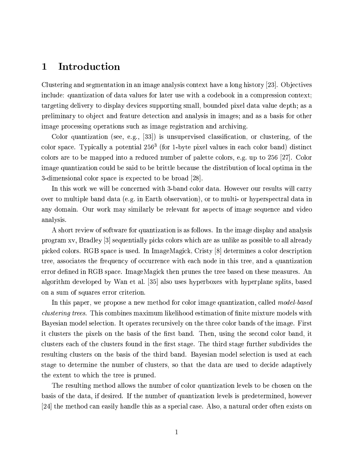#### Introduction  $\mathbf{1}$

Clustering and segmentation in an image analysis context have a long history [23]. Objectives include: quantization of data values for later use with a codebook in a compression context; targeting delivery to display devices supporting small, bounded pixel data value depth; as a preliminary to object and feature detection and analysis in images; and as a basis for other image processing operations such as image registration and archiving.

Color quantization (see, e.g., [33]) is unsupervised classification, or clustering, of the color space. Typically a potential  $256<sup>3</sup>$  (for 1-byte pixel values in each color band) distinct colors are to be mapped into a reduced number of palette colors, e.g. up to 256 [27]. Color image quantization could be said to be brittle because the distribution of local optima in the 3-dimensional color space is expected to be broad [28].

In this work we will be concerned with 3-band color data. However our results will carry over to multiple band data (e.g. in Earth observation), or to multi- or hyperspectral data in any domain. Our work may similarly be relevant for aspects of image sequence and video analysis.

A short review of software for quantization is as follows. In the image display and analysis program xv, Bradley [3] sequentially picks colors which are as unlike as possible to all already picked colors. RGB space is used. In ImageMagick, Cristy [8] determines a color description tree, associates the frequency of occurrence with each node in this tree, and a quantization error defined in RGB space. ImageMagick then prunes the tree based on these measures. An algorithm developed by Wan et al. [35] also uses hyperboxes with hyperplane splits, based on a sum of squares error criterion.

In this paper, we propose a new method for color image quantization, called *model-based clustering trees.* This combines maximum likelihood estimation of finite mixture models with Bayesian model selection. It operates recursively on the three color bands of the image. First it clusters the pixels on the basis of the first band. Then, using the second color band, it clusters each of the clusters found in the first stage. The third stage further subdivides the resulting clusters on the basis of the third band. Bayesian model selection is used at each stage to determine the number of clusters, so that the data are used to decide adaptively the extent to which the tree is pruned.

The resulting method allows the number of color quantization levels to be chosen on the basis of the data, if desired. If the number of quantization levels is predetermined, however [24] the method can easily handle this as a special case. Also, a natural order often exists on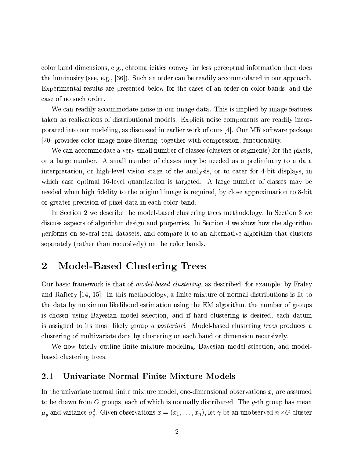color band dimensions, e.g., chromaticities convey far less perceptual information than does the luminosity (see, e.g.,  $[36]$ ). Such an order can be readily accommodated in our approach. Experimental results are presented below for the cases of an order on color bands, and the case of no such order.

We can readily accommodate noise in our image data. This is implied by image features taken as realizations of distributional models. Explicit noise components are readily incorporated into our modeling, as discussed in earlier work of ours [4]. Our MR software package [20] provides color image noise filtering, together with compression, functionality.

We can accommodate a very small number of classes (clusters or segments) for the pixels. or a large number. A small number of classes may be needed as a preliminary to a data interpretation, or high-level vision stage of the analysis, or to cater for 4-bit displays, in which case optimal 16-level quantization is targeted. A large number of classes may be needed when high fidelity to the original image is required, by close approximation to 8-bit or greater precision of pixel data in each color band.

In Section 2 we describe the model-based clustering trees methodology. In Section 3 we discuss aspects of algorithm design and properties. In Section 4 we show how the algorithm performs on several real datasets, and compare it to an alternative algorithm that clusters separately (rather than recursively) on the color bands.

#### **Model-Based Clustering Trees**  $\bf{2}$

Our basic framework is that of *model-based clustering*, as described, for example, by Fraley and Raftery  $[14, 15]$ . In this methodology, a finite mixture of normal distributions is fit to the data by maximum likelihood estimation using the EM algorithm, the number of groups is chosen using Bayesian model selection, and if hard clustering is desired, each datum is assigned to its most likely group a *posteriori*. Model-based clustering *trees* produces a clustering of multivariate data by clustering on each band or dimension recursively.

We now briefly outline finite mixture modeling, Bayesian model selection, and modelbased clustering trees.

#### Univariate Normal Finite Mixture Models  $2.1$

In the univariate normal finite mixture model, one-dimensional observations  $x_i$  are assumed to be drawn from G groups, each of which is normally distributed. The g-th group has mean  $\mu_g$  and variance  $\sigma_g^2$ . Given observations  $x = (x_1, \ldots, x_n)$ , let  $\gamma$  be an unobserved  $n \times G$  cluster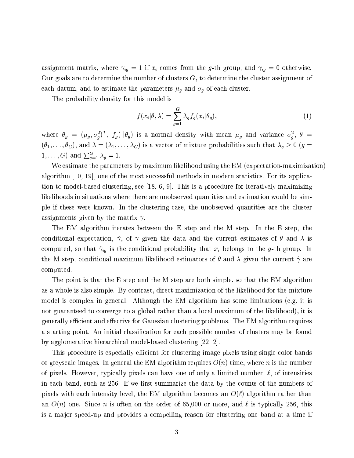assignment matrix, where  $\gamma_{ig} = 1$  if  $x_i$  comes from the g-th group, and  $\gamma_{ig} = 0$  otherwise. Our goals are to determine the number of clusters  $G$ , to determine the cluster assignment of each datum, and to estimate the parameters  $\mu_g$  and  $\sigma_g$  of each cluster.

The probability density for this model is

$$
f(x_i|\theta,\lambda) = \sum_{g=1}^G \lambda_g f_g(x_i|\theta_g),
$$
\n(1)

where  $\theta_g = (\mu_g, \sigma_g^2)^T$ ,  $f_g(\cdot | \theta_g)$  is a normal density with mean  $\mu_g$  and variance  $\sigma_g^2$ ,  $\theta =$  $(\theta_1,\ldots,\theta_G)$ , and  $\lambda=(\lambda_1,\ldots,\lambda_G)$  is a vector of mixture probabilities such that  $\lambda_g\geq 0$  ( $g=$  $1, \ldots, G$  and  $\sum_{g=1}^{G} \lambda_g = 1$ .

We estimate the parameters by maximum likelihood using the EM (expectation-maximization) algorithm [10, 19], one of the most successful methods in modern statistics. For its application to model-based clustering, see [18, 6, 9]. This is a procedure for iteratively maximizing likelihoods in situations where there are unobserved quantities and estimation would be simple if these were known. In the clustering case, the unobserved quantities are the cluster assignments given by the matrix  $\gamma$ .

The EM algorithm iterates between the E step and the M step. In the E step, the conditional expectation,  $\hat{\gamma}$ , of  $\gamma$  given the data and the current estimates of  $\theta$  and  $\lambda$  is computed, so that  $\hat{\gamma}_{ig}$  is the conditional probability that  $x_i$  belongs to the g-th group. In the M step, conditional maximum likelihood estimators of  $\theta$  and  $\lambda$  given the current  $\hat{\gamma}$  are computed.

The point is that the E step and the M step are both simple, so that the EM algorithm as a whole is also simple. By contrast, direct maximization of the likelihood for the mixture model is complex in general. Although the EM algorithm has some limitations (e.g. it is not guaranteed to converge to a global rather than a local maximum of the likelihood), it is generally efficient and effective for Gaussian clustering problems. The EM algorithm requires a starting point. An initial classification for each possible number of clusters may be found by agglomerative hierarchical model-based clustering [22, 2].

This procedure is especially efficient for clustering image pixels using single color bands or greyscale images. In general the EM algorithm requires  $O(n)$  time, where n is the number of pixels. However, typically pixels can have one of only a limited number,  $\ell$ , of intensities in each band, such as 256. If we first summarize the data by the counts of the numbers of pixels with each intensity level, the EM algorithm becomes an  $O(\ell)$  algorithm rather than an  $O(n)$  one. Since n is often on the order of 65,000 or more, and  $\ell$  is typically 256, this is a major speed-up and provides a compelling reason for clustering one band at a time if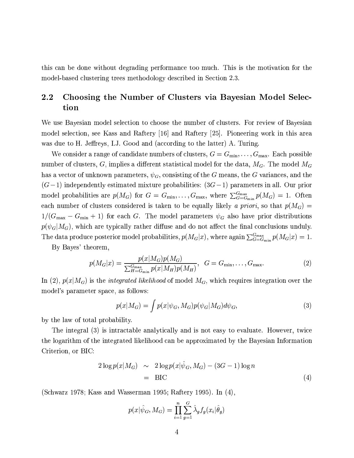this can be done without degrading performance too much. This is the motivation for the model-based clustering trees methodology described in Section 2.3.

### $2.2\,$ Choosing the Number of Clusters via Bayesian Model Selection

We use Bayesian model selection to choose the number of clusters. For review of Bayesian model selection, see Kass and Raftery [16] and Raftery [25]. Pioneering work in this area was due to H. Jeffreys, I.J. Good and (according to the latter) A. Turing.

We consider a range of candidate numbers of clusters,  $G = G_{\min}, \ldots, G_{\max}$ . Each possible number of clusters, G, implies a different statistical model for the data,  $M_G$ . The model  $M_G$ has a vector of unknown parameters,  $\psi_G$ , consisting of the G means, the G variances, and the  $(G-1)$  independently estimated mixture probabilities:  $(3G-1)$  parameters in all. Our prior model probabilities are  $p(M_G)$  for  $G = G_{\min}, \ldots, G_{\max}$ , where  $\sum_{G=G_{\min}}^{G_{\max}} p(M_G) = 1$ . Often each number of clusters considered is taken to be equally likely a priori, so that  $p(M_G)$  =  $1/(G_{\text{max}} - G_{\text{min}} + 1)$  for each G. The model parameters  $\psi_G$  also have prior distributions  $p(\psi_G|M_G)$ , which are typically rather diffuse and do not affect the final conclusions unduly. The data produce posterior model probabilities,  $p(M_G|x)$ , where again  $\sum_{G=G_{\min}}^{G_{\max}} p(M_G|x) = 1$ .

By Bayes' theorem.

$$
p(M_G|x) = \frac{p(x|M_G)p(M_G)}{\sum_{H=G_{\min}}^{G_{\max}} p(x|M_H)p(M_H)}, \ \ G = G_{\min}, \dots, G_{\max}.
$$
 (2)

In (2),  $p(x|M_G)$  is the *integrated likelihood* of model  $M_G$ , which requires integration over the model's parameter space, as follows:

$$
p(x|M_G) = \int p(x|\psi_G, M_G)p(\psi_G|M_G)d\psi_G,\tag{3}
$$

by the law of total probability.

The integral (3) is intractable analytically and is not easy to evaluate. However, twice the logarithm of the integrated likelihood can be approximated by the Bayesian Information Criterion, or BIC:

$$
2\log p(x|M_G) \sim 2\log p(x|\hat{\psi}_G, M_G) - (3G - 1)\log n
$$
  
= BIC (4)

(Schwarz 1978; Kass and Wasserman 1995; Raftery 1995). In (4),

$$
p(x|\hat{\psi}_G, M_G) = \prod_{i=1}^n \sum_{g=1}^G \hat{\lambda}_g f_g(x_i|\hat{\theta}_g)
$$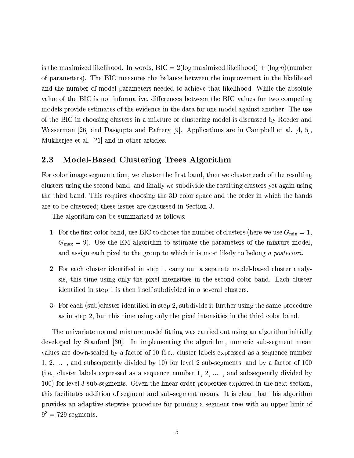is the maximized likelihood. In words,  $BIC = 2(\log \text{maximized likelihood}) + (\log n)(\text{number})$ of parameters). The BIC measures the balance between the improvement in the likelihood and the number of model parameters needed to achieve that likelihood. While the absolute value of the BIC is not informative, differences between the BIC values for two competing models provide estimates of the evidence in the data for one model against another. The use of the BIC in choosing clusters in a mixture or clustering model is discussed by Roeder and Wasserman [26] and Dasgupta and Raftery [9]. Applications are in Campbell et al. [4, 5]. Mukherjee et al. [21] and in other articles.

#### $2.3$ Model-Based Clustering Trees Algorithm

For color image segmentation, we cluster the first band, then we cluster each of the resulting clusters using the second band, and finally we subdivide the resulting clusters yet again using the third band. This requires choosing the 3D color space and the order in which the bands are to be clustered; these issues are discussed in Section 3.

The algorithm can be summarized as follows:

- 1. For the first color band, use BIC to choose the number of clusters (here we use  $G_{\min} = 1$ ,  $G_{\text{max}} = 9$ ). Use the EM algorithm to estimate the parameters of the mixture model, and assign each pixel to the group to which it is most likely to belong a posteriori.
- 2. For each cluster identified in step 1, carry out a separate model-based cluster analysis, this time using only the pixel intensities in the second color band. Each cluster identified in step 1 is then itself subdivided into several clusters.
- 3. For each (sub)cluster identified in step 2, subdivide it further using the same procedure as in step 2, but this time using only the pixel intensities in the third color band.

The univariate normal mixture model fitting was carried out using an algorithm initially developed by Stanford [30]. In implementing the algorithm, numeric sub-segment mean values are down-scaled by a factor of 10 (i.e., cluster labels expressed as a sequence number  $1, 2, \ldots$ , and subsequently divided by 10) for level 2 sub-segments, and by a factor of 100 (i.e., cluster labels expressed as a sequence number 1, 2, ..., and subsequently divided by 100) for level 3 sub-segments. Given the linear order properties explored in the next section. this facilitates addition of segment and sub-segment means. It is clear that this algorithm provides an adaptive stepwise procedure for pruning a segment tree with an upper limit of  $9^3 = 729$  segments.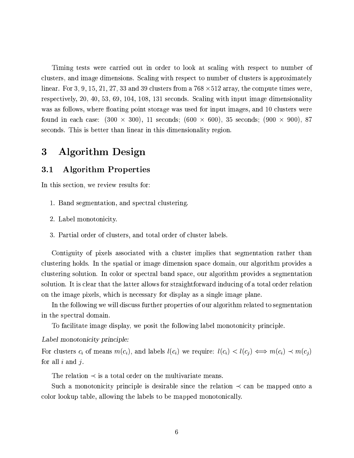Timing tests were carried out in order to look at scaling with respect to number of clusters, and image dimensions. Scaling with respect to number of clusters is approximately linear. For 3, 9, 15, 21, 27, 33 and 39 clusters from a  $768 \times 512$  array, the compute times were, respectively, 20, 40, 53, 69, 104, 108, 131 seconds. Scaling with input image dimensionality was as follows, where floating point storage was used for input images, and 10 clusters were found in each case:  $(300 \times 300)$ , 11 seconds;  $(600 \times 600)$ , 35 seconds;  $(900 \times 900)$ , 87 seconds. This is better than linear in this dimensionality region.

#### 3 **Algorithm Design**

#### **Algorithm Properties**  $3.1$

In this section, we review results for:

- 1. Band segmentation, and spectral clustering.
- 2. Label monotonicity.
- 3. Partial order of clusters, and total order of cluster labels.

Contiguity of pixels associated with a cluster implies that segmentation rather than clustering holds. In the spatial or image dimension space domain, our algorithm provides a clustering solution. In color or spectral band space, our algorithm provides a segmentation solution. It is clear that the latter allows for straightforward inducing of a total order relation on the image pixels, which is necessary for display as a single image plane.

In the following we will discuss further properties of our algorithm related to segmentation in the spectral domain.

To facilitate image display, we posit the following label monotonicity principle.

## Label monotonicity principle:

For clusters  $c_i$  of means  $m(c_i)$ , and labels  $l(c_i)$  we require:  $l(c_i) < l(c_j) \iff m(c_i) \prec m(c_j)$ for all  $i$  and  $j$ .

The relation  $\prec$  is a total order on the multivariate means.

Such a monotonicity principle is desirable since the relation  $\prec$  can be mapped onto a color lookup table, allowing the labels to be mapped monotonically.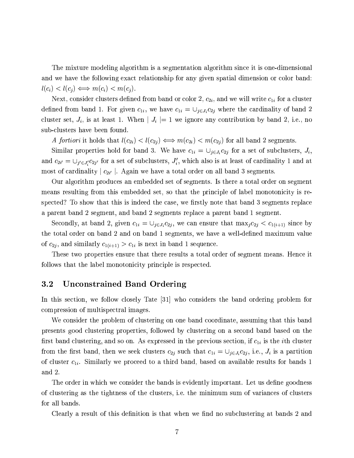The mixture modeling algorithm is a segmentation algorithm since it is one-dimensional and we have the following exact relationship for any given spatial dimension or color band:  $l(c_i) < l(c_j) \Longleftrightarrow m(c_i) < m(c_j).$ 

Next, consider clusters defined from band or color 2,  $c_{2i}$ , and we will write  $c_{1i}$  for a cluster defined from band 1. For given  $c_{1i}$ , we have  $c_{1i} = \bigcup_{j \in J_i} c_{2j}$  where the cardinality of band 2 cluster set,  $J_i$ , is at least 1. When  $|J_i| = 1$  we ignore any contribution by band 2, i.e., no sub-clusters have been found.

A fortiori it holds that  $l(c_{2i}) < l(c_{2j}) \Longleftrightarrow m(c_{2i}) < m(c_{2j})$  for all band 2 segments.

Similar properties hold for band 3. We have  $c_{1i} = \bigcup_{j \in J_i} c_{2j}$  for a set of subclusters,  $J_i$ , and  $c_{2i'} = \bigcup_{j' \in J'_i} c_{2j'}$  for a set of subclusters,  $J'_i$ , which also is at least of cardinality 1 and at most of cardinality  $|c_{2i'}|$ . Again we have a total order on all band 3 segments.

Our algorithm produces an embedded set of segments. Is there a total order on segment means resulting from this embedded set, so that the principle of label monotonicity is respected? To show that this is indeed the case, we firstly note that band 3 segments replace a parent band 2 segment, and band 2 segments replace a parent band 1 segment.

Secondly, at band 2, given  $c_{1i} = \bigcup_{j \in J_i} c_{2j}$ , we can ensure that  $\max_j c_{2j} < c_{1(i+1)}$  since by the total order on band 2 and on band 1 segments, we have a well-defined maximum value of  $c_{2j}$ , and similarly  $c_{1(i+1)} > c_{1i}$  is next in band 1 sequence.

These two properties ensure that there results a total order of segment means. Hence it follows that the label monotonicity principle is respected.

#### $3.2$ **Unconstrained Band Ordering**

In this section, we follow closely Tate [31] who considers the band ordering problem for compression of multispectral images.

We consider the problem of clustering on one band coordinate, assuming that this band presents good clustering properties, followed by clustering on a second band based on the first band clustering, and so on. As expressed in the previous section, if  $c_{1i}$  is the *i*th cluster from the first band, then we seek clusters  $c_{2j}$  such that  $c_{1i} = \bigcup_{j \in J_i} c_{2j}$ , i.e.,  $J_i$  is a partition of cluster  $c_{1i}$ . Similarly we proceed to a third band, based on available results for bands 1 and 2.

The order in which we consider the bands is evidently important. Let us define goodness of clustering as the tightness of the clusters, i.e. the minimum sum of variances of clusters for all bands.

Clearly a result of this definition is that when we find no subclustering at bands 2 and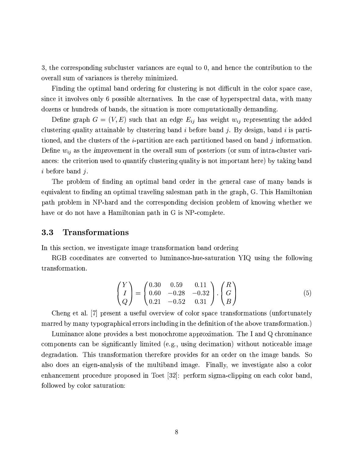3, the corresponding subcluster variances are equal to 0, and hence the contribution to the overall sum of variances is thereby minimized.

Finding the optimal band ordering for clustering is not difficult in the color space case, since it involves only 6 possible alternatives. In the case of hyperspectral data, with many dozens or hundreds of bands, the situation is more computationally demanding.

Define graph  $G = (V, E)$  such that an edge  $E_{ij}$  has weight  $w_{ij}$  representing the added clustering quality attainable by clustering band i before band j. By design, band i is partitioned, and the clusters of the *i*-partition are each partitioned based on band  $j$  information. Define  $w_{ij}$  as the improvement in the overall sum of posteriors (or sum of intra-cluster variances: the criterion used to quantify clustering quality is not important here) by taking band  $i$  before band  $j$ .

The problem of finding an optimal band order in the general case of many bands is equivalent to finding an optimal traveling salesman path in the graph, G. This Hamiltonian path problem in NP-hard and the corresponding decision problem of knowing whether we have or do not have a Hamiltonian path in G is NP-complete.

#### **Transformations**  $3.3$

In this section, we investigate image transformation band ordering

RGB coordinates are converted to luminance-hue-saturation YIQ using the following transformation.

$$
\begin{pmatrix} Y \ I \ Q \end{pmatrix} = \begin{pmatrix} 0.30 & 0.59 & 0.11 \\ 0.60 & -0.28 & -0.32 \\ 0.21 & -0.52 & 0.31 \end{pmatrix} \cdot \begin{pmatrix} R \\ G \\ B \end{pmatrix}
$$
 (5)

Cheng et al. [7] present a useful overview of color space transformations (unfortunately marred by many typographical errors including in the definition of the above transformation.)

Luminance alone provides a best monochrome approximation. The I and Q chrominance components can be significantly limited (e.g., using decimation) without noticeable image degradation. This transformation therefore provides for an order on the image bands. So also does an eigen-analysis of the multiband image. Finally, we investigate also a color enhancement procedure proposed in Toet [32]: perform sigma-clipping on each color band. followed by color saturation: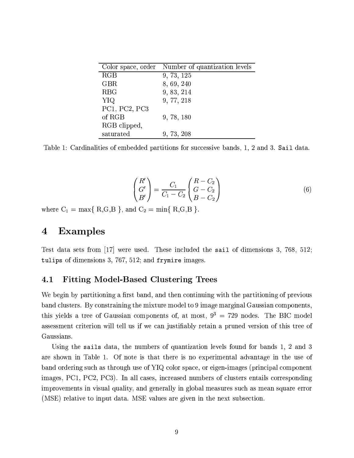|               | Color space, order Number of quantization levels |
|---------------|--------------------------------------------------|
| RGB           | 9, 73, 125                                       |
| <b>GBR</b>    | 8, 69, 240                                       |
| <b>RBG</b>    | 9, 83, 214                                       |
| <b>YIQ</b>    | 9, 77, 218                                       |
| PC1, PC2, PC3 |                                                  |
| of RGB        | 9, 78, 180                                       |
| RGB clipped,  |                                                  |
| saturated     | 9, 73, 208                                       |

Table 1: Cardinalities of embedded partitions for successive bands, 1, 2 and 3. Sail data.

$$
\begin{pmatrix}\nR' \\
G' \\
B'\n\end{pmatrix} = \frac{C_1}{C_1 - C_2} \begin{pmatrix}\nR - C_2 \\
G - C_2 \\
B - C_2\n\end{pmatrix}
$$
\n(6)

where  $C_1 = \max\{ R, G, B \}$ , and  $C_2 = \min\{ R, G, B \}$ .

#### **Examples**  $\bf{4}$

Test data sets from  $|17|$  were used. These included the sail of dimensions 3, 768, 512; tulips of dimensions 3, 767, 512; and frymire images.

#### 4.1 **Fitting Model-Based Clustering Trees**

We begin by partitioning a first band, and then continuing with the partitioning of previous band clusters. By constraining the mixture model to 9 image marginal Gaussian components, this yields a tree of Gaussian components of, at most,  $9^3 = 729$  nodes. The BIC model assessment criterion will tell us if we can justifiably retain a pruned version of this tree of Gaussians.

Using the sails data, the numbers of quantization levels found for bands 1, 2 and 3 are shown in Table 1. Of note is that there is no experimental advantage in the use of band ordering such as through use of YIQ color space, or eigen-images (principal component images, PC1, PC2, PC3). In all cases, increased numbers of clusters entails corresponding improvements in visual quality, and generally in global measures such as mean square error (MSE) relative to input data. MSE values are given in the next subsection.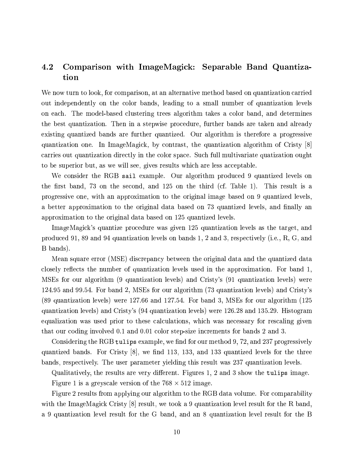### 4.2 Comparison with ImageMagick: Separable Band Quantization

We now turn to look, for comparison, at an alternative method based on quantization carried out independently on the color bands, leading to a small number of quantization levels on each. The model-based clustering trees algorithm takes a color band, and determines the best quantization. Then in a stepwise procedure, further bands are taken and already existing quantized bands are further quantized. Our algorithm is therefore a progressive quantization one. In ImageMagick, by contrast, the quantization algorithm of Cristy [8] carries out quantization directly in the color space. Such full multivariate quatization ought to be superior but, as we will see, gives results which are less acceptable.

We consider the RGB sail example. Our algorithm produced 9 quantized levels on the first band, 73 on the second, and 125 on the third (cf. Table 1). This result is a progressive one, with an approximation to the original image based on 9 quantized levels. a better approximation to the original data based on 73 quantized levels, and finally an approximation to the original data based on 125 quantized levels.

ImageMagick's quantize procedure was given 125 quantization levels as the target, and produced 91, 89 and 94 quantization levels on bands 1, 2 and 3, respectively (i.e., R, G, and B bands).

Mean square error (MSE) discrepancy between the original data and the quantized data closely reflects the number of quantization levels used in the approximation. For band 1. MSEs for our algorithm (9 quantization levels) and Cristy's (91 quantization levels) were 124.95 and 99.54. For band 2, MSEs for our algorithm (73 quantization levels) and Cristy's (89 quantization levels) were 127.66 and 127.54. For band 3, MSEs for our algorithm (125 quantization levels) and Cristy's (94 quantization levels) were 126.28 and 135.29. Histogram equalization was used prior to these calculations, which was necessary for rescaling given that our coding involved 0.1 and 0.01 color step-size increments for bands 2 and 3.

Considering the RGB tulips example, we find for our method 9, 72, and 237 progressively quantized bands. For Cristy [8], we find 113, 133, and 133 quantized levels for the three bands, respectively. The user parameter yielding this result was 237 quantization levels.

Qualitatively, the results are very different. Figures 1, 2 and 3 show the tulips image.

Figure 1 is a greyscale version of the  $768 \times 512$  image.

Figure 2 results from applying our algorithm to the RGB data volume. For comparability with the ImageMagick Cristy [8] result, we took a 9 quantization level result for the R band. a 9 quantization level result for the G band, and an 8 quantization level result for the B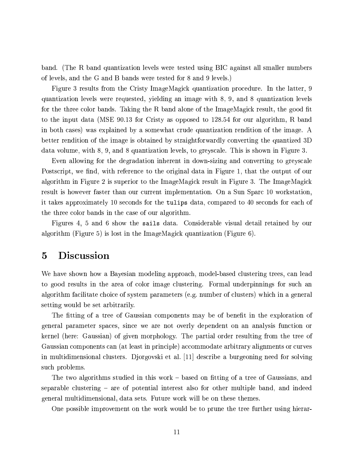band. (The R band quantization levels were tested using BIC against all smaller numbers of levels, and the G and B bands were tested for 8 and 9 levels.)

Figure 3 results from the Cristy ImageMagick quantization procedure. In the latter, 9 quantization levels were requested, yielding an image with 8, 9, and 8 quantization levels for the three color bands. Taking the R band alone of the ImageMagick result, the good fit to the input data (MSE 90.13 for Cristy as opposed to 128.54 for our algorithm, R band in both cases) was explained by a somewhat crude quantization rendition of the image. A better rendition of the image is obtained by straightforwardly converting the quantized 3D data volume, with 8, 9, and 8 quantization levels, to greyscale. This is shown in Figure 3.

Even allowing for the degradation inherent in down-sizing and converting to greyscale Postscript, we find, with reference to the original data in Figure 1, that the output of our algorithm in Figure 2 is superior to the ImageMagick result in Figure 3. The ImageMagick result is however faster than our current implementation. On a Sun Sparc 10 workstation. it takes approximately 10 seconds for the tulips data, compared to 40 seconds for each of the three color bands in the case of our algorithm.

Figures 4, 5 and 6 show the sails data. Considerable visual detail retained by our algorithm (Figure 5) is lost in the ImageMagick quantization (Figure 6).

#### **Discussion**  $\overline{5}$

We have shown how a Bayesian modeling approach, model-based clustering trees, can lead to good results in the area of color image clustering. Formal underpinnings for such an algorithm facilitate choice of system parameters (e.g. number of clusters) which in a general setting would be set arbitrarily.

The fitting of a tree of Gaussian components may be of benefit in the exploration of general parameter spaces, since we are not overly dependent on an analysis function or kernel (here: Gaussian) of given morphology. The partial order resulting from the tree of Gaussian components can (at least in principle) accommodate arbitrary alignments or curves in multidimensional clusters. Djorgovski et al. [11] describe a burgeoning need for solving such problems.

The two algorithms studied in this work – based on fitting of a tree of Gaussians, and separable clustering  $-$  are of potential interest also for other multiple band, and indeed general multidimensional, data sets. Future work will be on these themes.

One possible improvement on the work would be to prune the tree further using hierar-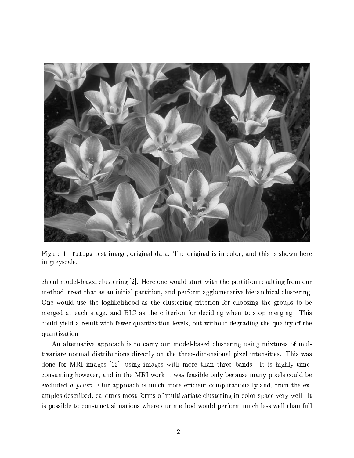

Figure 1: Tulips test image, original data. The original is in color, and this is shown here in greyscale.

chical model-based clustering [2]. Here one would start with the partition resulting from our method, treat that as an initial partition, and perform agglomerative hierarchical clustering. One would use the loglikelihood as the clustering criterion for choosing the groups to be merged at each stage, and BIC as the criterion for deciding when to stop merging. This could yield a result with fewer quantization levels, but without degrading the quality of the quantization.

An alternative approach is to carry out model-based clustering using mixtures of multivariate normal distributions directly on the three-dimensional pixel intensities. This was done for MRI images  $|12|$ , using images with more than three bands. It is highly timeconsuming however, and in the MRI work it was feasible only because many pixels could be excluded a priori. Our approach is much more efficient computationally and, from the examples described, captures most forms of multivariate clustering in color space very well. It is possible to construct situations where our method would perform much less well than full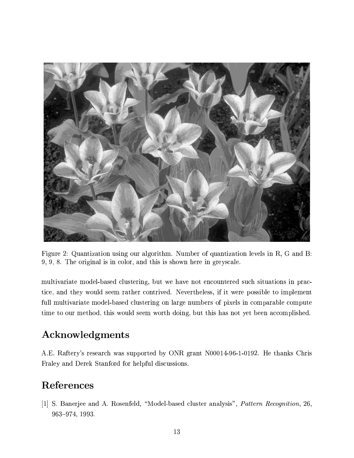

Figure 2: Quantization using our algorithm. Number of quantization levels in R, G and B: 9, 9, 8. The original is in color, and this is shown here in greyscale.

multivariate model-based clustering, but we have not encountered such situations in practice, and they would seem rather contrived. Nevertheless, if it were possible to implement full multivariate model-based clustering on large numbers of pixels in comparable compute time to our method, this would seem worth doing, but this has not yet been accomplished.

## Acknowledgments

A.E. Raftery's research was supported by ONR grant N00014-96-1-0192. He thanks Chris Fraley and Derek Stanford for helpful discussions.

## References

[1] S. Banerjee and A. Rosenfeld, "Model-based cluster analysis", *Pattern Recognition*, 26, 963-974, 1993.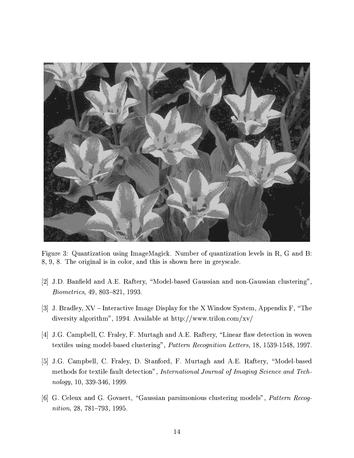

Figure 3: Quantization using ImageMagick. Number of quantization levels in R, G and B: 8, 9, 8. The original is in color, and this is shown here in greyscale.

- [2] J.D. Banfield and A.E. Raftery, "Model-based Gaussian and non-Gaussian clustering", *Biometrics*, 49, 803-821, 1993.
- [3] J. Bradley, XV Interactive Image Display for the X Window System, Appendix F, "The diversity algorithm", 1994. Available at http://www.trilon.com/xv/
- [4] J.G. Campbell, C. Fraley, F. Murtagh and A.E. Raftery, "Linear flaw detection in woven textiles using model-based clustering", Pattern Recognition Letters, 18, 1539-1548, 1997.
- [5] J.G. Campbell, C. Fraley, D. Stanford, F. Murtagh and A.E. Raftery, "Model-based" methods for textile fault detection", International Journal of Imaging Science and Technology, 10, 339-346, 1999.
- [6] G. Celeux and G. Govaert, "Gaussian parsimonious clustering models", Pattern Recognition, 28, 781-793, 1995.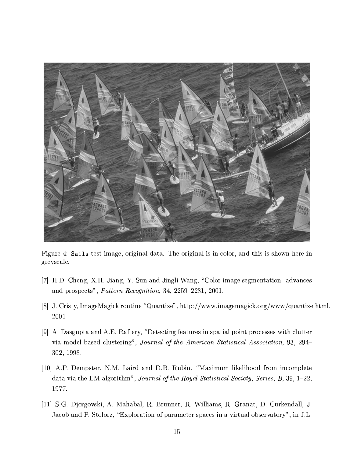

Figure 4: Sails test image, original data. The original is in color, and this is shown here in greyscale.

- [7] H.D. Cheng, X.H. Jiang, Y. Sun and Jingli Wang, "Color image segmentation: advances" and prospects", Pattern Recognition, 34, 2259-2281, 2001.
- [8] J. Cristy, ImageMagick routine "Quantize", http://www.imagemagick.org/www/quantize.html,  $2001\,$
- [9] A. Dasgupta and A.E. Raftery, "Detecting features in spatial point processes with clutter via model-based clustering", Journal of the American Statistical Association, 93, 294– 302, 1998.
- [10] A.P. Dempster, N.M. Laird and D.B. Rubin, "Maximum likelihood from incomplete data via the EM algorithm", Journal of the Royal Statistical Society, Series, B, 39, 1-22, 1977.
- [11] S.G. Djorgovski, A. Mahabal, R. Brunner, R. Williams, R. Granat, D. Curkendall, J. Jacob and P. Stolorz, "Exploration of parameter spaces in a virtual observatory", in J.L.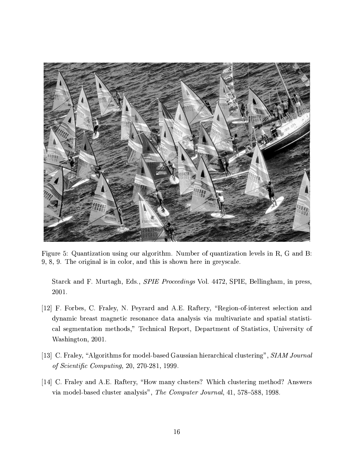

Figure 5: Quantization using our algorithm. Number of quantization levels in R, G and B: 9, 8, 9. The original is in color, and this is shown here in greyscale.

Starck and F. Murtagh, Eds., *SPIE Proceedings* Vol. 4472, SPIE, Bellingham, in press, 2001.

- [12] F. Forbes, C. Fraley, N. Peyrard and A.E. Raftery, "Region-of-interest selection and dynamic breast magnetic resonance data analysis via multivariate and spatial statistical segmentation methods," Technical Report, Department of Statistics, University of Washington, 2001.
- [13] C. Fraley, "Algorithms for model-based Gaussian hierarchical clustering", SIAM Journal of Scientific Computing, 20, 270-281, 1999.
- [14] C. Fraley and A.E. Raftery, "How many clusters? Which clustering method? Answers via model-based cluster analysis", The Computer Journal, 41, 578–588, 1998.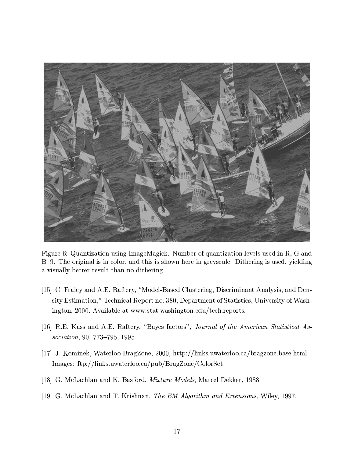

Figure 6: Quantization using ImageMagick. Number of quantization levels used in R, G and B: 9. The original is in color, and this is shown here in greyscale. Dithering is used, yielding a visually better result than no dithering.

- [15] C. Fraley and A.E. Raftery, "Model-Based Clustering, Discriminant Analysis, and Density Estimation," Technical Report no. 380, Department of Statistics, University of Washington, 2000. Available at www.stat.washington.edu/tech.reports.
- [16] R.E. Kass and A.E. Raftery, "Bayes factors", Journal of the American Statistical Association, 90, 773-795, 1995.
- [17] J. Kominek, Waterloo BragZone, 2000, http://links.uwaterloo.ca/bragzone.base.html Images: ftp://links.uwaterloo.ca/pub/BragZone/ColorSet
- [18] G. McLachlan and K. Basford, *Mixture Models*, Marcel Dekker, 1988.
- [19] G. McLachlan and T. Krishnan, The EM Algorithm and Extensions, Wiley, 1997.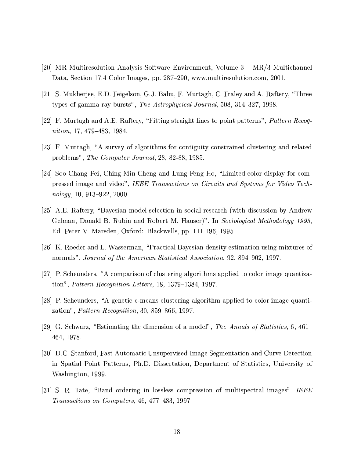- [20] MR Multiresolution Analysis Software Environment, Volume 3 MR/3 Multichannel Data, Section 17.4 Color Images, pp. 287–290, www.multiresolution.com, 2001.
- [21] S. Mukherjee, E.D. Feigelson, G.J. Babu, F. Murtagh, C. Fraley and A. Raftery, "Three types of gamma-ray bursts", The Astrophysical Journal, 508, 314–327, 1998.
- [22] F. Murtagh and A.E. Raftery, "Fitting straight lines to point patterns", *Pattern Recog*nition, 17, 479–483, 1984.
- [23] F. Murtagh, "A survey of algorithms for contiguity-constrained clustering and related problems", The Computer Journal, 28, 82-88, 1985.
- [24] Soo-Chang Pei, Ching-Min Cheng and Lung-Feng Ho, "Limited color display for compressed image and video", IEEE Transactions on Circuits and Systems for Video Technology, 10, 913–922, 2000.
- [25] A.E. Raftery, "Bayesian model selection in social research (with discussion by Andrew Gelman, Donald B. Rubin and Robert M. Hauser)". In Sociological Methodology 1995. Ed. Peter V. Marsden, Oxford: Blackwells, pp. 111-196, 1995.
- [26] K. Roeder and L. Wasserman, "Practical Bayesian density estimation using mixtures of normals", Journal of the American Statistical Association, 92, 894–902, 1997.
- [27] P. Scheunders, "A comparison of clustering algorithms applied to color image quantization", *Pattern Recognition Letters*,  $18$ ,  $1379-1384$ ,  $1997$ .
- [28] P. Scheunders, "A genetic c-means clustering algorithm applied to color image quantization", *Pattern Recognition*, 30, 859–866, 1997.
- [29] G. Schwarz, "Estimating the dimension of a model", The Annals of Statistics, 6, 461– 464, 1978.
- [30] D.C. Stanford, Fast Automatic Unsupervised Image Segmentation and Curve Detection in Spatial Point Patterns, Ph.D. Dissertation, Department of Statistics, University of Washington, 1999.
- [31] S. R. Tate, "Band ordering in lossless compression of multispectral images". IEEE *Transactions on Computers*, 46, 477–483, 1997.